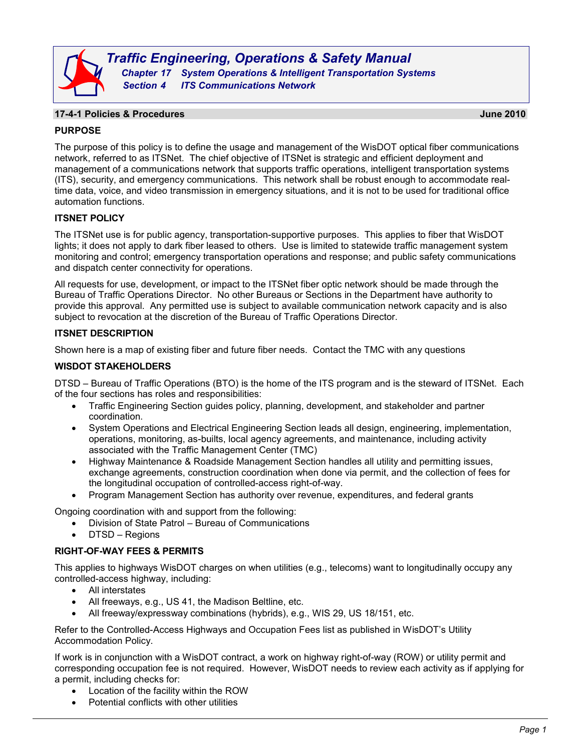

*Traffic Engineering, Operations & Safety Manual Chapter 17 System Operations & Intelligent Transportation Systems Section 4 ITS Communications Network*

# **17-4-1 Policies & Procedures June 2010**

## **PURPOSE**

The purpose of this policy is to define the usage and management of the WisDOT optical fiber communications network, referred to as ITSNet. The chief objective of ITSNet is strategic and efficient deployment and management of a communications network that supports traffic operations, intelligent transportation systems (ITS), security, and emergency communications. This network shall be robust enough to accommodate realtime data, voice, and video transmission in emergency situations, and it is not to be used for traditional office automation functions.

## **ITSNET POLICY**

The ITSNet use is for public agency, transportation-supportive purposes. This applies to fiber that WisDOT lights; it does not apply to dark fiber leased to others. Use is limited to statewide traffic management system monitoring and control; emergency transportation operations and response; and public safety communications and dispatch center connectivity for operations.

All requests for use, development, or impact to the ITSNet fiber optic network should be made through the Bureau of Traffic Operations Director. No other Bureaus or Sections in the Department have authority to provide this approval. Any permitted use is subject to available communication network capacity and is also subject to revocation at the discretion of the Bureau of Traffic Operations Director.

### **ITSNET DESCRIPTION**

Shown here is a map of existing fiber and future fiber needs. Contact the TMC with any questions

### **WISDOT STAKEHOLDERS**

DTSD – Bureau of Traffic Operations (BTO) is the home of the ITS program and is the steward of ITSNet. Each of the four sections has roles and responsibilities:

- Traffic Engineering Section guides policy, planning, development, and stakeholder and partner coordination.
- System Operations and Electrical Engineering Section leads all design, engineering, implementation, operations, monitoring, as-builts, local agency agreements, and maintenance, including activity associated with the Traffic Management Center (TMC)
- Highway Maintenance & Roadside Management Section handles all utility and permitting issues, exchange agreements, construction coordination when done via permit, and the collection of fees for the longitudinal occupation of controlled-access right-of-way.
- Program Management Section has authority over revenue, expenditures, and federal grants

Ongoing coordination with and support from the following:

- Division of State Patrol Bureau of Communications
- DTSD Regions

### **RIGHT-OF-WAY FEES & PERMITS**

This applies to highways WisDOT charges on when utilities (e.g., telecoms) want to longitudinally occupy any controlled-access highway, including:

- All interstates
- All freeways, e.g., US 41, the Madison Beltline, etc.
- All freeway/expressway combinations (hybrids), e.g., WIS 29, US 18/151, etc.

Refer to the Controlled-Access Highways and Occupation Fees list as published in WisDOT's Utility Accommodation Policy.

If work is in conjunction with a WisDOT contract, a work on highway right-of-way (ROW) or utility permit and corresponding occupation fee is not required. However, WisDOT needs to review each activity as if applying for a permit, including checks for:

- Location of the facility within the ROW
- Potential conflicts with other utilities